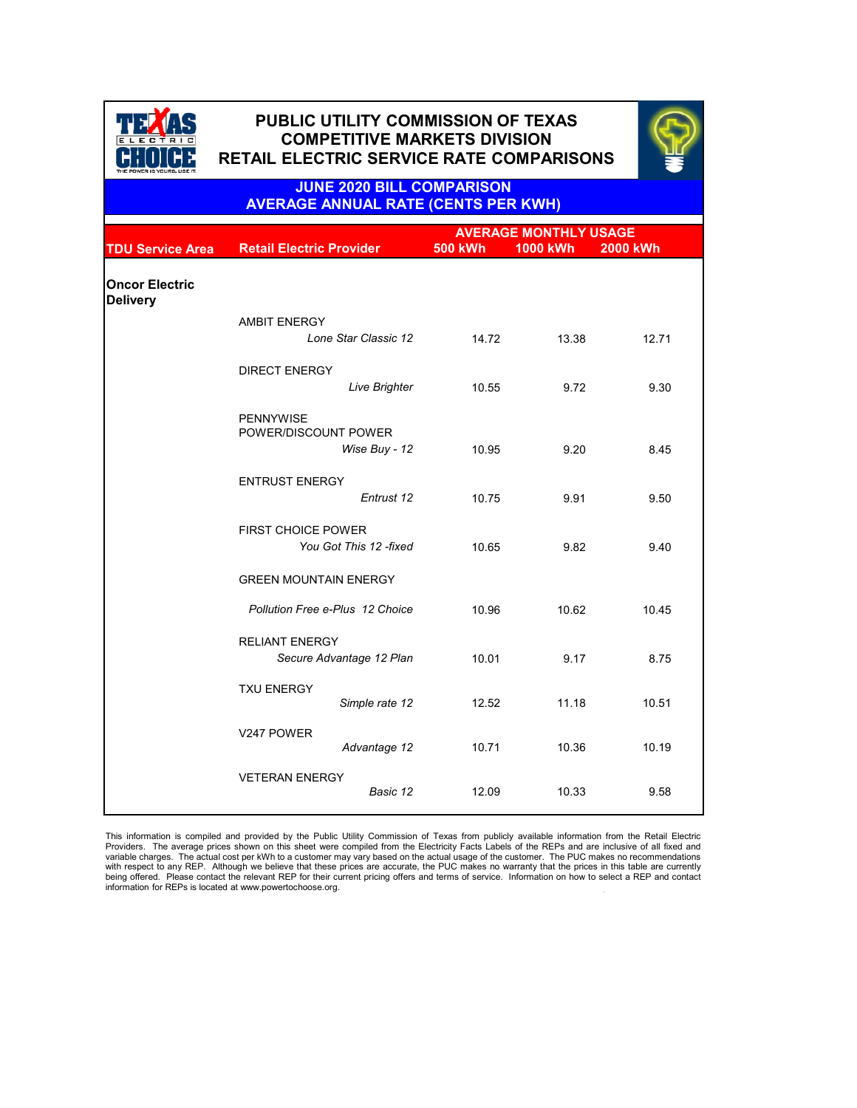|                                          |                                                           |                | <b>AVERAGE MONTHLY USAGE</b> |                 |  |
|------------------------------------------|-----------------------------------------------------------|----------------|------------------------------|-----------------|--|
| <b>TDU Service Area</b>                  | <b>Retail Electric Provider</b>                           | <b>500 kWh</b> | <b>1000 kWh</b>              | <b>2000 kWh</b> |  |
| <b>Oncor Electric</b><br><b>Delivery</b> |                                                           |                |                              |                 |  |
|                                          | <b>AMBIT ENERGY</b><br>Lone Star Classic 12               | 14.72          | 13.38                        | 12.71           |  |
|                                          | <b>DIRECT ENERGY</b><br><b>Live Brighter</b>              | 10.55          | 9.72                         | 9.30            |  |
|                                          | <b>PENNYWISE</b><br>POWER/DISCOUNT POWER<br>Wise Buy - 12 | 10.95          | 9.20                         | 8.45            |  |
|                                          | <b>ENTRUST ENERGY</b><br>Entrust 12                       | 10.75          | 9.91                         | 9.50            |  |
|                                          | <b>FIRST CHOICE POWER</b><br>You Got This 12 -fixed       | 10.65          | 9.82                         | 9.40            |  |
|                                          | <b>GREEN MOUNTAIN ENERGY</b>                              |                |                              |                 |  |
|                                          | <b>Pollution Free e-Plus 12 Choice</b>                    | 10.96          | 10.62                        | 10.45           |  |
|                                          | <b>RELIANT ENERGY</b><br>Secure Advantage 12 Plan         | 10.01          | 9.17                         | 8.75            |  |
|                                          | <b>TXU ENERGY</b><br>Simple rate 12                       | 12.52          | 11.18                        | 10.51           |  |
|                                          |                                                           |                |                              |                 |  |

| V247 POWER            | Advantage 12 | 10.71 | 10.36 | 10.19 |
|-----------------------|--------------|-------|-------|-------|
| <b>VETERAN ENERGY</b> | Basic 12     | 12.09 | 10.33 | 9.58  |



# **PUBLIC UTILITY COMMISSION OF TEXAS PUBLIC UTILITY COMMISSION OF TEXAS COMPETITIVE MARKETS DIVISION COMPETITIVE MARKETS DIVISION RETAIL ELECTRIC SERVICE RATE COMPARISONS RETAIL ELECTRIC SERVICE RATE COMPARISONS**



. This information is compiled and provided by the Public Utility Commission of Texas from publicly available information from the Retail Electric Providers. The average prices shown on this sheet were compiled from the Electricity Facts Labels of the REPs and are inclusive of all fixed and variable charges. The actual cost per kWh to a customer may vary based on the actual usage of the customer. The PUC makes no recommendations with respect to any REP. Although we believe that these prices are accurate, the PUC makes no warranty that the prices in this table are currently being offered. Please contact the relevant REP for their current pricing offers and terms of service. Information on how to select a REP and contact information for REPs is located at www.powertochoose.org.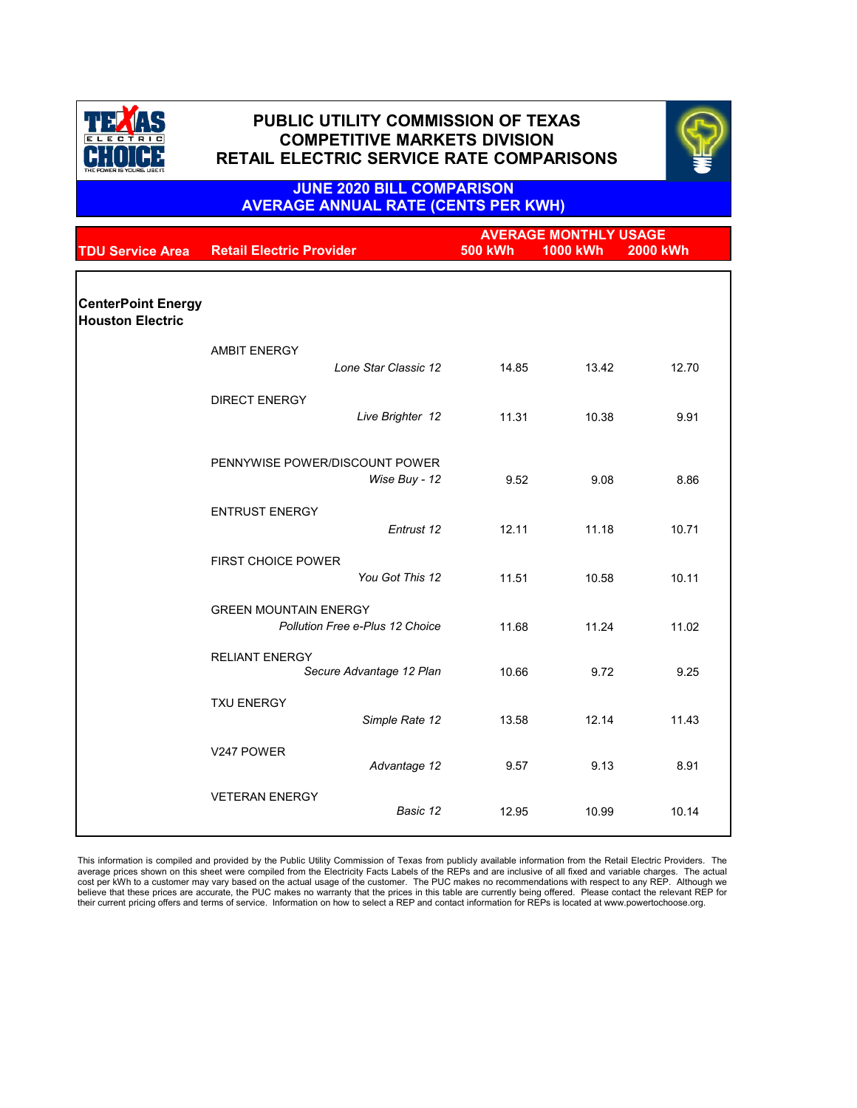|                                                      |                                                   | <b>AVERAGE MONTHLY USAGE</b> |                 |                 |
|------------------------------------------------------|---------------------------------------------------|------------------------------|-----------------|-----------------|
| <b>TDU Service Area</b>                              | <b>Retail Electric Provider</b>                   | <b>500 kWh</b>               | <b>1000 kWh</b> | <b>2000 kWh</b> |
|                                                      |                                                   |                              |                 |                 |
| <b>CenterPoint Energy</b><br><b>Houston Electric</b> |                                                   |                              |                 |                 |
|                                                      | <b>AMBIT ENERGY</b>                               |                              |                 |                 |
|                                                      | Lone Star Classic 12                              | 14.85                        | 13.42           | 12.70           |
|                                                      | <b>DIRECT ENERGY</b>                              |                              |                 |                 |
|                                                      | Live Brighter 12                                  | 11.31                        | 10.38           | 9.91            |
|                                                      |                                                   |                              |                 |                 |
|                                                      | PENNYWISE POWER/DISCOUNT POWER<br>Wise Buy - 12   | 9.52                         | 9.08            | 8.86            |
|                                                      | <b>ENTRUST ENERGY</b>                             |                              |                 |                 |
|                                                      | Entrust 12                                        | 12.11                        | 11.18           | 10.71           |
|                                                      | <b>FIRST CHOICE POWER</b>                         |                              |                 |                 |
|                                                      | You Got This 12                                   | 11.51                        | 10.58           | 10.11           |
|                                                      | <b>GREEN MOUNTAIN ENERGY</b>                      |                              |                 |                 |
|                                                      | <b>Pollution Free e-Plus 12 Choice</b>            | 11.68                        | 11.24           | 11.02           |
|                                                      | <b>RELIANT ENERGY</b><br>Secure Advantage 12 Plan | 10.66                        | 9.72            | 9.25            |
|                                                      | <b>TXU ENERGY</b>                                 |                              |                 |                 |
|                                                      | Simple Rate 12                                    | 13.58                        | 12.14           | 11.43           |

| V247 POWER            | Advantage 12 | 9.57  | 9.13  | 8.91  |
|-----------------------|--------------|-------|-------|-------|
| <b>VETERAN ENERGY</b> | Basic 12     | 12.95 | 10.99 | 10.14 |

This information is compiled and provided by the Public Utility Commission of Texas from publicly available information from the Retail Electric Providers. The average prices shown on this sheet were compiled from the Electricity Facts Labels of the REPs and are inclusive of all fixed and variable charges. The actual cost per kWh to a customer may vary based on the actual usage of the customer. The PUC makes no recommendations with respect to any REP. Although we believe that these prices are accurate, the PUC makes no warranty that the prices in this table are currently being offered. Please contact the relevant REP for their current pricing offers and terms of service. Information on how to select a REP and contact information for REPs is located at www.powertochoose.org.



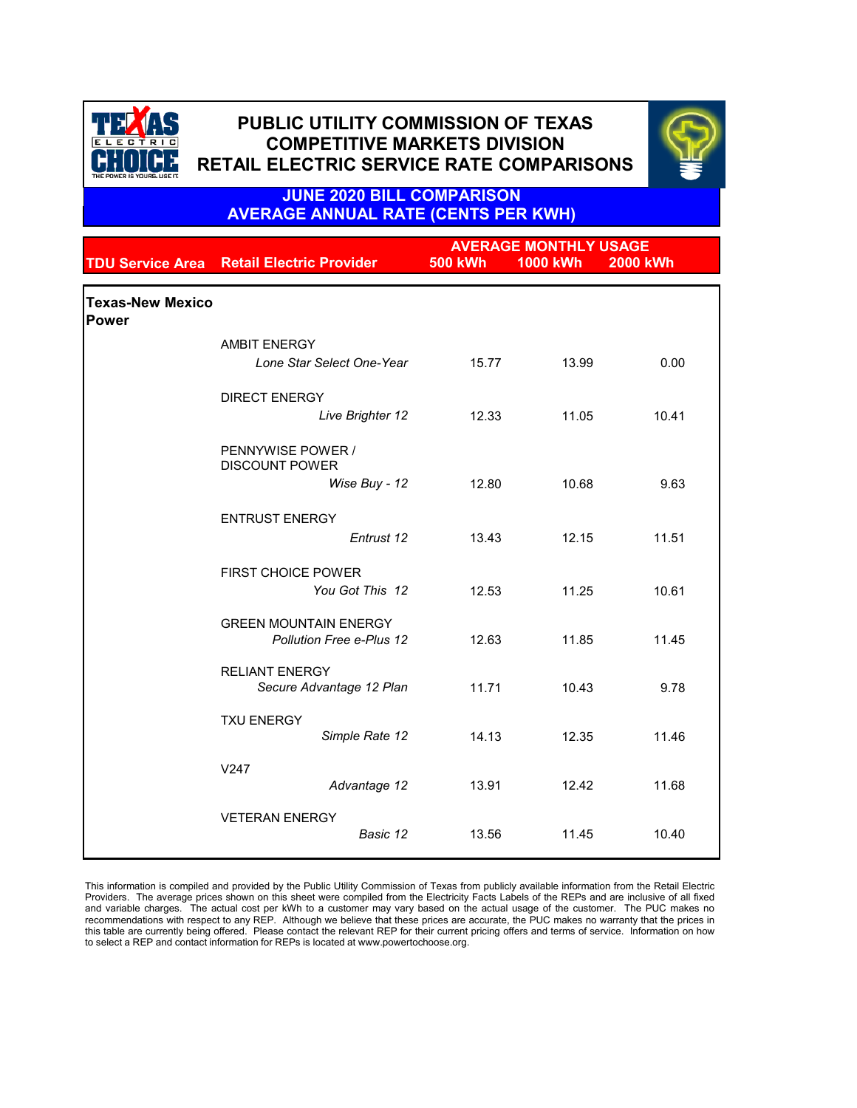|                                         |                                                                 | <b>AVERAGE MONTHLY USAGE</b> |                 |                 |  |  |
|-----------------------------------------|-----------------------------------------------------------------|------------------------------|-----------------|-----------------|--|--|
|                                         | <b>TDU Service Area Retail Electric Provider</b>                | <b>500 kWh</b>               | <b>1000 kWh</b> | <b>2000 kWh</b> |  |  |
| <b>Texas-New Mexico</b><br><b>Power</b> |                                                                 |                              |                 |                 |  |  |
|                                         | <b>AMBIT ENERGY</b>                                             |                              |                 |                 |  |  |
|                                         | Lone Star Select One-Year                                       | 15.77                        | 13.99           | 0.00            |  |  |
|                                         | <b>DIRECT ENERGY</b>                                            |                              |                 |                 |  |  |
|                                         | Live Brighter 12                                                | 12.33                        | 11.05           | 10.41           |  |  |
|                                         | PENNYWISE POWER /<br><b>DISCOUNT POWER</b>                      |                              |                 |                 |  |  |
|                                         | Wise Buy - 12                                                   | 12.80                        | 10.68           | 9.63            |  |  |
|                                         | <b>ENTRUST ENERGY</b>                                           |                              |                 |                 |  |  |
|                                         | Entrust 12                                                      | 13.43                        | 12.15           | 11.51           |  |  |
|                                         | <b>FIRST CHOICE POWER</b><br>You Got This 12                    | 12.53                        | 11.25           | 10.61           |  |  |
|                                         | <b>GREEN MOUNTAIN ENERGY</b><br><b>Pollution Free e-Plus 12</b> | 12.63                        | 11.85           | 11.45           |  |  |
|                                         | <b>RELIANT ENERGY</b><br>Secure Advantage 12 Plan               | 11.71                        | 10.43           | 9.78            |  |  |
|                                         | <b>TXU ENERGY</b><br>Simple Rate 12                             | 14.13                        | 12.35           | 11.46           |  |  |
|                                         | V247<br>Advantage 12                                            | 13.91                        | 12.42           | 11.68           |  |  |

| <b>VETERAN ENERGY</b> |          |       |            |       |
|-----------------------|----------|-------|------------|-------|
|                       | Basic 12 | 13.56 | .45<br>-44 | 10.40 |
|                       |          |       |            |       |

This information is compiled and provided by the Public Utility Commission of Texas from publicly available information from the Retail Electric Providers. The average prices shown on this sheet were compiled from the Electricity Facts Labels of the REPs and are inclusive of all fixed and variable charges. The actual cost per kWh to a customer may vary based on the actual usage of the customer. The PUC makes no recommendations with respect to any REP. Although we believe that these prices are accurate, the PUC makes no warranty that the prices in this table are currently being offered. Please contact the relevant REP for their current pricing offers and terms of service. Information on how to select a REP and contact information for REPs is located at www.powertochoose.org.



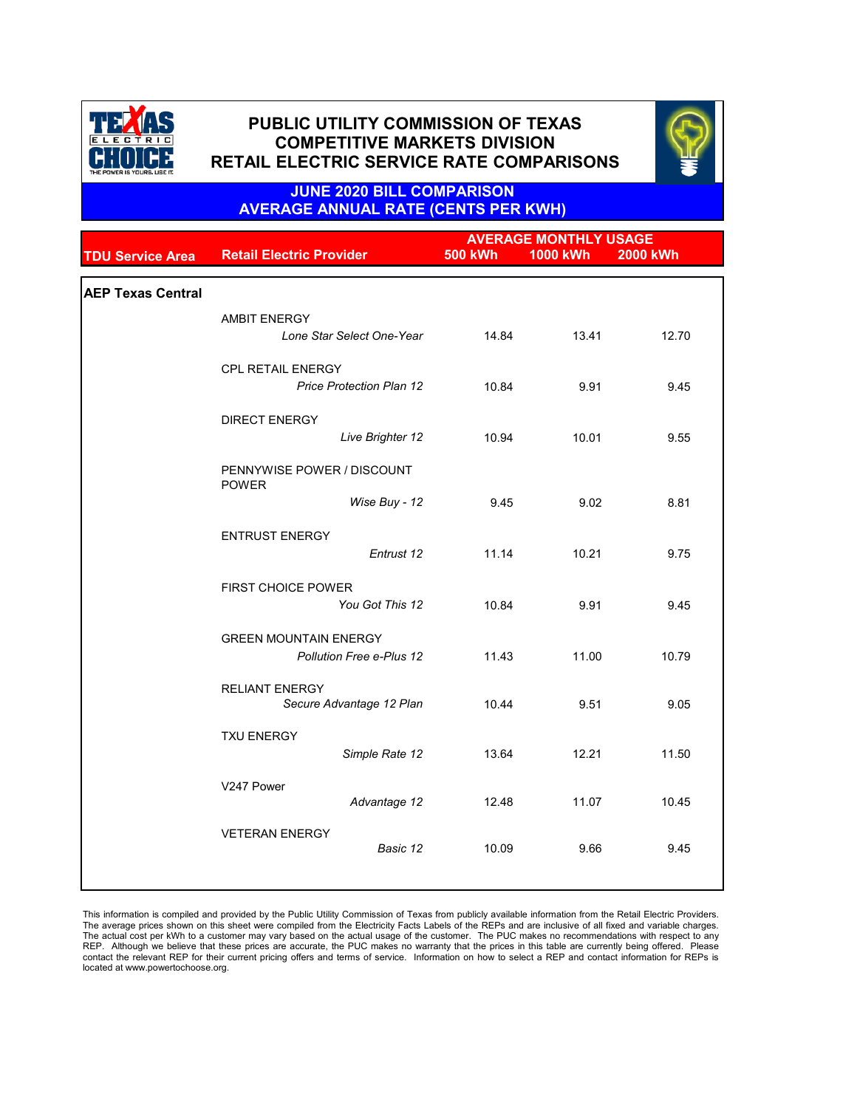|                          |                                            | <b>AVERAGE MONTHLY USAGE</b> |                 |                 |
|--------------------------|--------------------------------------------|------------------------------|-----------------|-----------------|
| <b>TDU Service Area</b>  | <b>Retail Electric Provider</b>            | <b>500 kWh</b>               | <b>1000 kWh</b> | <b>2000 kWh</b> |
|                          |                                            |                              |                 |                 |
| <b>AEP Texas Central</b> |                                            |                              |                 |                 |
|                          | <b>AMBIT ENERGY</b>                        |                              |                 |                 |
|                          | Lone Star Select One-Year                  | 14.84                        | 13.41           | 12.70           |
|                          | <b>CPL RETAIL ENERGY</b>                   |                              |                 |                 |
|                          | <b>Price Protection Plan 12</b>            | 10.84                        | 9.91            | 9.45            |
|                          | <b>DIRECT ENERGY</b>                       |                              |                 |                 |
|                          | Live Brighter 12                           | 10.94                        | 10.01           | 9.55            |
|                          | PENNYWISE POWER / DISCOUNT<br><b>POWER</b> |                              |                 |                 |
|                          | Wise Buy - 12                              | 9.45                         | 9.02            | 8.81            |
|                          | <b>ENTRUST ENERGY</b>                      |                              |                 |                 |
|                          | Entrust 12                                 | 11.14                        | 10.21           | 9.75            |
|                          | <b>FIRST CHOICE POWER</b>                  |                              |                 |                 |
|                          | You Got This 12                            | 10.84                        | 9.91            | 9.45            |
|                          | <b>GREEN MOUNTAIN ENERGY</b>               |                              |                 |                 |
|                          | <b>Pollution Free e-Plus 12</b>            | 11.43                        | 11.00           | 10.79           |
|                          | <b>RELIANT ENERGY</b>                      |                              |                 |                 |
|                          | Secure Advantage 12 Plan                   | 10.44                        | 9.51            | 9.05            |
|                          | <b>TXU ENERGY</b>                          |                              |                 |                 |
|                          | Simple Rate 12                             | 13.64                        | 12.21           | 11.50           |
|                          |                                            |                              |                 |                 |
|                          | V247 Power<br>Advantage 12                 | 12.48                        | 11.07           | 10.45           |
|                          |                                            |                              |                 |                 |
|                          | <b>VETERAN ENERGY</b><br>Basic 12          | 10.09                        | 9.66            | 9.45            |
|                          |                                            |                              |                 |                 |
|                          |                                            |                              |                 |                 |

This information is compiled and provided by the Public Utility Commission of Texas from publicly available information from the Retail Electric Providers. The average prices shown on this sheet were compiled from the Electricity Facts Labels of the REPs and are inclusive of all fixed and variable charges. The actual cost per kWh to a customer may vary based on the actual usage of the customer. The PUC makes no recommendations with respect to any REP. Although we believe that these prices are accurate, the PUC makes no warranty that the prices in this table are currently being offered. Please contact the relevant REP for their current pricing offers and terms of service. Information on how to select a REP and contact information for REPs is located at www.powertochoose.org.